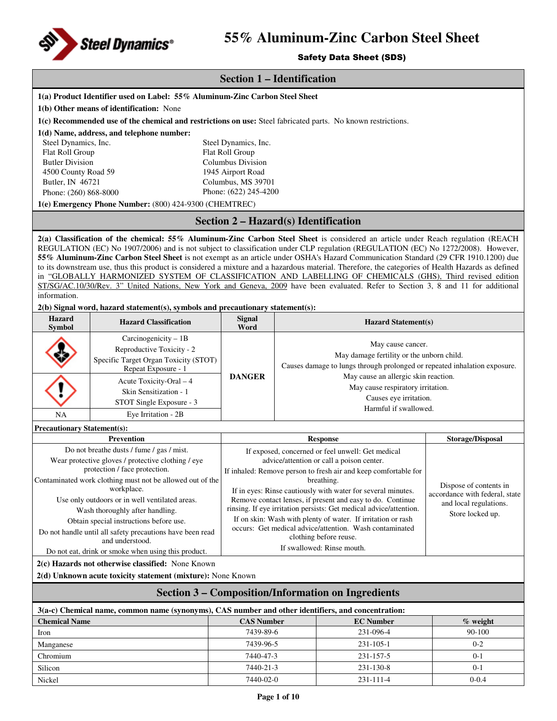

## Safety Data Sheet (SDS)

|                                                           |                                                                                                                                                                                                                                                                        | <b>Section 1 – Identification</b>           |                                                                                                      |                                                                           |                                |  |  |  |
|-----------------------------------------------------------|------------------------------------------------------------------------------------------------------------------------------------------------------------------------------------------------------------------------------------------------------------------------|---------------------------------------------|------------------------------------------------------------------------------------------------------|---------------------------------------------------------------------------|--------------------------------|--|--|--|
|                                                           | 1(a) Product Identifier used on Label: 55% Aluminum-Zinc Carbon Steel Sheet                                                                                                                                                                                            |                                             |                                                                                                      |                                                                           |                                |  |  |  |
|                                                           | 1(b) Other means of identification: None                                                                                                                                                                                                                               |                                             |                                                                                                      |                                                                           |                                |  |  |  |
|                                                           | 1(c) Recommended use of the chemical and restrictions on use: Steel fabricated parts. No known restrictions.                                                                                                                                                           |                                             |                                                                                                      |                                                                           |                                |  |  |  |
|                                                           | 1(d) Name, address, and telephone number:                                                                                                                                                                                                                              |                                             |                                                                                                      |                                                                           |                                |  |  |  |
| Steel Dynamics, Inc.<br>Steel Dynamics, Inc.              |                                                                                                                                                                                                                                                                        |                                             |                                                                                                      |                                                                           |                                |  |  |  |
| Flat Roll Group                                           |                                                                                                                                                                                                                                                                        | Flat Roll Group                             |                                                                                                      |                                                                           |                                |  |  |  |
| <b>Butler Division</b>                                    |                                                                                                                                                                                                                                                                        | Columbus Division                           |                                                                                                      |                                                                           |                                |  |  |  |
| 4500 County Road 59                                       |                                                                                                                                                                                                                                                                        | 1945 Airport Road                           |                                                                                                      |                                                                           |                                |  |  |  |
| Butler, IN 46721                                          |                                                                                                                                                                                                                                                                        | Columbus, MS 39701                          |                                                                                                      |                                                                           |                                |  |  |  |
| Phone: (260) 868-8000                                     |                                                                                                                                                                                                                                                                        | Phone: (622) 245-4200                       |                                                                                                      |                                                                           |                                |  |  |  |
|                                                           | 1(e) Emergency Phone Number: (800) 424-9300 (CHEMTREC)                                                                                                                                                                                                                 |                                             |                                                                                                      |                                                                           |                                |  |  |  |
|                                                           |                                                                                                                                                                                                                                                                        | <b>Section 2 – Hazard(s) Identification</b> |                                                                                                      |                                                                           |                                |  |  |  |
|                                                           | 2(a) Classification of the chemical: 55% Aluminum-Zinc Carbon Steel Sheet is considered an article under Reach regulation (REACH                                                                                                                                       |                                             |                                                                                                      |                                                                           |                                |  |  |  |
|                                                           | REGULATION (EC) No 1907/2006) and is not subject to classification under CLP regulation (REGULATION (EC) No 1272/2008). However,<br>55% Aluminum-Zinc Carbon Steel Sheet is not exempt as an article under OSHA's Hazard Communication Standard (29 CFR 1910.1200) due |                                             |                                                                                                      |                                                                           |                                |  |  |  |
|                                                           | to its downstream use, thus this product is considered a mixture and a hazardous material. Therefore, the categories of Health Hazards as defined                                                                                                                      |                                             |                                                                                                      |                                                                           |                                |  |  |  |
|                                                           | in "GLOBALLY HARMONIZED SYSTEM OF CLASSIFICATION AND LABELLING OF CHEMICALS (GHS), Third revised edition                                                                                                                                                               |                                             |                                                                                                      |                                                                           |                                |  |  |  |
|                                                           | ST/SG/AC.10/30/Rev. 3" United Nations, New York and Geneva, 2009 have been evaluated. Refer to Section 3, 8 and 11 for additional                                                                                                                                      |                                             |                                                                                                      |                                                                           |                                |  |  |  |
| information.                                              |                                                                                                                                                                                                                                                                        |                                             |                                                                                                      |                                                                           |                                |  |  |  |
|                                                           | $2(b)$ Signal word, hazard statement(s), symbols and precautionary statement(s):                                                                                                                                                                                       |                                             |                                                                                                      |                                                                           |                                |  |  |  |
| <b>Hazard</b><br><b>Symbol</b>                            | <b>Hazard Classification</b>                                                                                                                                                                                                                                           | <b>Signal</b><br>Word                       |                                                                                                      | <b>Hazard Statement(s)</b>                                                |                                |  |  |  |
| Carcinogenicity $-1B$                                     |                                                                                                                                                                                                                                                                        |                                             | May cause cancer.                                                                                    |                                                                           |                                |  |  |  |
|                                                           | Reproductive Toxicity - 2                                                                                                                                                                                                                                              |                                             | May damage fertility or the unborn child.                                                            |                                                                           |                                |  |  |  |
|                                                           | Specific Target Organ Toxicity (STOT)                                                                                                                                                                                                                                  |                                             |                                                                                                      | Causes damage to lungs through prolonged or repeated inhalation exposure. |                                |  |  |  |
|                                                           | Repeat Exposure - 1                                                                                                                                                                                                                                                    | <b>DANGER</b>                               |                                                                                                      | May cause an allergic skin reaction.                                      |                                |  |  |  |
|                                                           | Acute Toxicity-Oral - 4                                                                                                                                                                                                                                                |                                             |                                                                                                      | May cause respiratory irritation.                                         |                                |  |  |  |
|                                                           | Skin Sensitization - 1                                                                                                                                                                                                                                                 |                                             | Causes eye irritation.                                                                               |                                                                           |                                |  |  |  |
|                                                           | STOT Single Exposure - 3                                                                                                                                                                                                                                               |                                             |                                                                                                      | Harmful if swallowed.                                                     |                                |  |  |  |
| <b>NA</b>                                                 | Eye Irritation - 2B                                                                                                                                                                                                                                                    |                                             |                                                                                                      |                                                                           |                                |  |  |  |
| <b>Precautionary Statement(s):</b>                        |                                                                                                                                                                                                                                                                        |                                             |                                                                                                      |                                                                           |                                |  |  |  |
|                                                           | <b>Prevention</b>                                                                                                                                                                                                                                                      |                                             | Storage/Disposal<br><b>Response</b>                                                                  |                                                                           |                                |  |  |  |
|                                                           | Do not breathe dusts / fume / gas / mist.                                                                                                                                                                                                                              |                                             |                                                                                                      | If exposed, concerned or feel unwell: Get medical                         |                                |  |  |  |
|                                                           | Wear protective gloves / protective clothing / eye                                                                                                                                                                                                                     |                                             | advice/attention or call a poison center.                                                            |                                                                           |                                |  |  |  |
|                                                           | protection / face protection.                                                                                                                                                                                                                                          |                                             |                                                                                                      | If inhaled: Remove person to fresh air and keep comfortable for           |                                |  |  |  |
|                                                           | Contaminated work clothing must not be allowed out of the<br>workplace.                                                                                                                                                                                                |                                             | breathing.<br>Dispose of contents in<br>If in eyes: Rinse cautiously with water for several minutes. |                                                                           |                                |  |  |  |
|                                                           | Use only outdoors or in well ventilated areas.                                                                                                                                                                                                                         |                                             |                                                                                                      | Remove contact lenses, if present and easy to do. Continue                | accordance with federal, state |  |  |  |
|                                                           | Wash thoroughly after handling.                                                                                                                                                                                                                                        |                                             |                                                                                                      | rinsing. If eye irritation persists: Get medical advice/attention.        | and local regulations.         |  |  |  |
|                                                           | Obtain special instructions before use.                                                                                                                                                                                                                                |                                             |                                                                                                      | If on skin: Wash with plenty of water. If irritation or rash              | Store locked up.               |  |  |  |
|                                                           | Do not handle until all safety precautions have been read                                                                                                                                                                                                              |                                             |                                                                                                      | occurs: Get medical advice/attention. Wash contaminated                   |                                |  |  |  |
|                                                           | and understood.                                                                                                                                                                                                                                                        |                                             |                                                                                                      | clothing before reuse.                                                    |                                |  |  |  |
|                                                           | Do not eat, drink or smoke when using this product.                                                                                                                                                                                                                    |                                             |                                                                                                      | If swallowed: Rinse mouth.                                                |                                |  |  |  |
|                                                           | 2(c) Hazards not otherwise classified: None Known                                                                                                                                                                                                                      |                                             |                                                                                                      |                                                                           |                                |  |  |  |
|                                                           | 2(d) Unknown acute toxicity statement (mixture): None Known                                                                                                                                                                                                            |                                             |                                                                                                      |                                                                           |                                |  |  |  |
| <b>Section 3 – Composition/Information on Ingredients</b> |                                                                                                                                                                                                                                                                        |                                             |                                                                                                      |                                                                           |                                |  |  |  |
|                                                           | 3(a-c) Chemical name, common name (synonyms), CAS number and other identifiers, and concentration:                                                                                                                                                                     |                                             |                                                                                                      |                                                                           |                                |  |  |  |
| <b>Chemical Name</b>                                      |                                                                                                                                                                                                                                                                        | <b>CAS Number</b>                           |                                                                                                      | <b>EC Number</b>                                                          | % weight                       |  |  |  |
| Iron                                                      |                                                                                                                                                                                                                                                                        | 7439-89-6                                   |                                                                                                      | 231-096-4                                                                 | 90-100                         |  |  |  |
| Manganese                                                 |                                                                                                                                                                                                                                                                        | 7439-96-5                                   |                                                                                                      | 231-105-1                                                                 | $0 - 2$                        |  |  |  |
| Chromium                                                  |                                                                                                                                                                                                                                                                        | 7440-47-3                                   |                                                                                                      | 231-157-5                                                                 | $0 - 1$                        |  |  |  |

Silicon 1912 1231-130-8 1231-130-8 0-1 Nickel 7440-02-0 231-111-4 0-0.4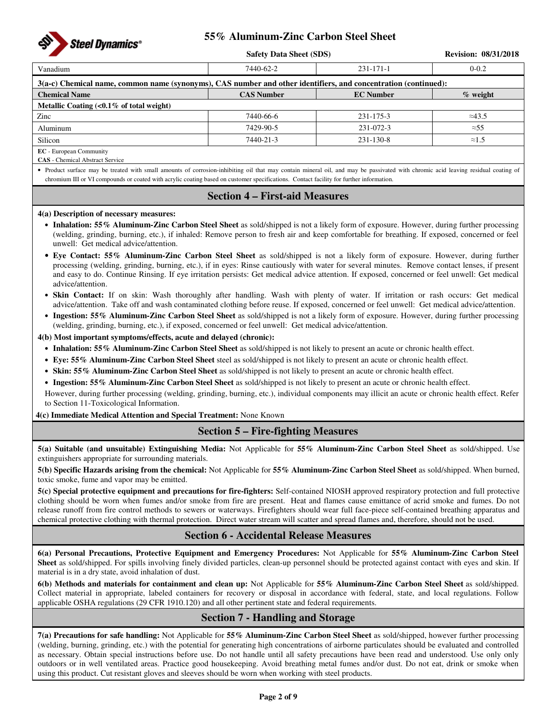

|                                                                                                                                                                                   | <b>Safety Data Sheet (SDS)</b> |                 | <b>Revision: 08/31/2018</b> |  |  |  |  |  |
|-----------------------------------------------------------------------------------------------------------------------------------------------------------------------------------|--------------------------------|-----------------|-----------------------------|--|--|--|--|--|
| Vanadium                                                                                                                                                                          | 7440-62-2                      | $231 - 171 - 1$ | $0 - 0.2$                   |  |  |  |  |  |
| 3(a-c) Chemical name, common name (synonyms), CAS number and other identifiers, and concentration (continued):                                                                    |                                |                 |                             |  |  |  |  |  |
| <b>CAS Number</b><br><b>EC</b> Number<br>$%$ weight<br><b>Chemical Name</b>                                                                                                       |                                |                 |                             |  |  |  |  |  |
| Metallic Coating $\langle 0.1\%$ of total weight)                                                                                                                                 |                                |                 |                             |  |  |  |  |  |
| Zinc                                                                                                                                                                              | 7440-66-6                      | 231-175-3       | $\approx$ 43.5              |  |  |  |  |  |
| Aluminum                                                                                                                                                                          | 7429-90-5                      | $231 - 072 - 3$ | $\approx 55$                |  |  |  |  |  |
| Silicon                                                                                                                                                                           | 7440-21-3                      | $231 - 130 - 8$ | $\approx 1.5$               |  |  |  |  |  |
| <b>EC</b> - European Community                                                                                                                                                    |                                |                 |                             |  |  |  |  |  |
| <b>CAS</b> - Chemical Abstract Service                                                                                                                                            |                                |                 |                             |  |  |  |  |  |
| • Product surface may be treated with small amounts of corrosion-inhibiting oil that may contain mineral oil, and may be passivated with chromic acid leaving residual coating of |                                |                 |                             |  |  |  |  |  |

chromium III or VI compounds or coated with acrylic coating based on customer specifications. Contact facility for further information.

## **Section 4 – First-aid Measures**

### **4(a) Description of necessary measures:**

- **Inhalation: 55% Aluminum-Zinc Carbon Steel Sheet** as sold/shipped is not a likely form of exposure. However, during further processing (welding, grinding, burning, etc.), if inhaled: Remove person to fresh air and keep comfortable for breathing. If exposed, concerned or feel unwell: Get medical advice/attention.
- **Eye Contact: 55% Aluminum-Zinc Carbon Steel Sheet** as sold/shipped is not a likely form of exposure. However, during further processing (welding, grinding, burning, etc.), if in eyes: Rinse cautiously with water for several minutes. Remove contact lenses, if present and easy to do. Continue Rinsing. If eye irritation persists: Get medical advice attention. If exposed, concerned or feel unwell: Get medical advice/attention.
- **Skin Contact:** If on skin: Wash thoroughly after handling. Wash with plenty of water. If irritation or rash occurs: Get medical advice/attention. Take off and wash contaminated clothing before reuse. If exposed, concerned or feel unwell: Get medical advice/attention.
- **Ingestion: 55% Aluminum-Zinc Carbon Steel Sheet** as sold/shipped is not a likely form of exposure. However, during further processing (welding, grinding, burning, etc.), if exposed, concerned or feel unwell: Get medical advice/attention.

**4(b) Most important symptoms/effects, acute and delayed (chronic):** 

- **Inhalation: 55% Aluminum-Zinc Carbon Steel Sheet** as sold/shipped is not likely to present an acute or chronic health effect.
- **Eye: 55% Aluminum-Zinc Carbon Steel Sheet** steel as sold/shipped is not likely to present an acute or chronic health effect.
- **Skin: 55% Aluminum-Zinc Carbon Steel Sheet** as sold/shipped is not likely to present an acute or chronic health effect.
- **Ingestion: 55% Aluminum-Zinc Carbon Steel Sheet** as sold/shipped is not likely to present an acute or chronic health effect.

However, during further processing (welding, grinding, burning, etc.), individual components may illicit an acute or chronic health effect. Refer to Section 11-Toxicological Information.

**4(c) Immediate Medical Attention and Special Treatment:** None Known

## **Section 5 – Fire-fighting Measures**

**5(a) Suitable (and unsuitable) Extinguishing Media:** Not Applicable for **55% Aluminum-Zinc Carbon Steel Sheet** as sold/shipped. Use extinguishers appropriate for surrounding materials.

**5(b) Specific Hazards arising from the chemical:** Not Applicable for **55% Aluminum-Zinc Carbon Steel Sheet** as sold/shipped. When burned, toxic smoke, fume and vapor may be emitted.

**5(c) Special protective equipment and precautions for fire-fighters:** Self-contained NIOSH approved respiratory protection and full protective clothing should be worn when fumes and/or smoke from fire are present. Heat and flames cause emittance of acrid smoke and fumes. Do not release runoff from fire control methods to sewers or waterways. Firefighters should wear full face-piece self-contained breathing apparatus and chemical protective clothing with thermal protection. Direct water stream will scatter and spread flames and, therefore, should not be used.

## **Section 6 - Accidental Release Measures**

**6(a) Personal Precautions, Protective Equipment and Emergency Procedures:** Not Applicable for **55% Aluminum-Zinc Carbon Steel Sheet** as sold/shipped. For spills involving finely divided particles, clean-up personnel should be protected against contact with eyes and skin. If material is in a dry state, avoid inhalation of dust.

**6(b) Methods and materials for containment and clean up:** Not Applicable for **55% Aluminum-Zinc Carbon Steel Sheet** as sold/shipped. Collect material in appropriate, labeled containers for recovery or disposal in accordance with federal, state, and local regulations. Follow applicable OSHA regulations (29 CFR 1910.120) and all other pertinent state and federal requirements.

## **Section 7 - Handling and Storage**

**7(a) Precautions for safe handling:** Not Applicable for **55% Aluminum-Zinc Carbon Steel Sheet** as sold/shipped, however further processing (welding, burning, grinding, etc.) with the potential for generating high concentrations of airborne particulates should be evaluated and controlled as necessary. Obtain special instructions before use. Do not handle until all safety precautions have been read and understood. Use only only outdoors or in well ventilated areas. Practice good housekeeping. Avoid breathing metal fumes and/or dust. Do not eat, drink or smoke when using this product. Cut resistant gloves and sleeves should be worn when working with steel products.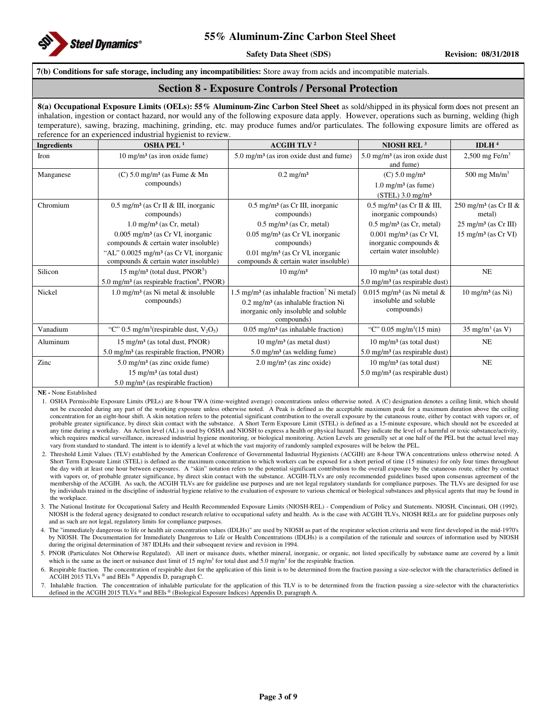

#### **7(b) Conditions for safe storage, including any incompatibilities:** Store away from acids and incompatible materials.

### **Section 8 - Exposure Controls / Personal Protection**

**8(a) Occupational Exposure Limits (OELs): 55% Aluminum-Zinc Carbon Steel Sheet** as sold/shipped in its physical form does not present an inhalation, ingestion or contact hazard, nor would any of the following exposure data apply. However, operations such as burning, welding (high temperature), sawing, brazing, machining, grinding, etc. may produce fumes and/or particulates. The following exposure limits are offered as reference for an experienced industrial hygienist to review.

| <b>Ingredients</b> | enenees msasana nj gremse to revie<br>OSHA PEL $1$                | ACGIH TLV <sup>2</sup>                                             | NIOSH REL <sup>3</sup>                                           | IDLH $4$                                       |
|--------------------|-------------------------------------------------------------------|--------------------------------------------------------------------|------------------------------------------------------------------|------------------------------------------------|
| Iron               | $10 \text{ mg/m}^3$ (as iron oxide fume)                          | $5.0 \text{ mg/m}^3$ (as iron oxide dust and fume)                 | $5.0 \text{ mg/m}^3$ (as iron oxide dust<br>and fume)            | $2,500$ mg Fe/m <sup>3</sup>                   |
| Manganese          | $(C)$ 5.0 mg/m <sup>3</sup> (as Fume & Mn                         | $0.2 \text{ mg/m}^3$                                               | $(C) 5.0$ mg/m <sup>3</sup>                                      | 500 mg $Mn/m3$                                 |
|                    | compounds)                                                        |                                                                    | $1.0 \text{ mg/m}^3$ (as fume)                                   |                                                |
|                    |                                                                   |                                                                    | $(STEL)$ 3.0 mg/m <sup>3</sup>                                   |                                                |
| Chromium           | $0.5$ mg/m <sup>3</sup> (as Cr II & III, inorganic<br>compounds)  | $0.5$ mg/m <sup>3</sup> (as Cr III, inorganic<br>compounds)        | $0.5$ mg/m <sup>3</sup> (as Cr II & III,<br>inorganic compounds) | 250 mg/m <sup>3</sup> (as Cr II $\&$<br>metal) |
|                    | $1.0 \text{ mg/m}^3$ (as Cr, metal)                               | $0.5 \text{ mg/m}^3$ (as Cr, metal)                                | $0.5 \text{ mg/m}^3$ (as Cr, metal)                              | $25 \text{ mg/m}^3$ (as Cr III)                |
|                    | $0.005$ mg/m <sup>3</sup> (as Cr VI, inorganic                    | $0.05$ mg/m <sup>3</sup> (as Cr VI, inorganic                      | $0.001$ mg/m <sup>3</sup> (as Cr VI,                             | $15 \text{ mg/m}^3$ (as Cr VI)                 |
|                    | compounds & certain water insoluble)                              | compounds)                                                         | inorganic compounds &                                            |                                                |
|                    | "AL" $0.0025$ mg/m <sup>3</sup> (as Cr VI, inorganic              | $0.01$ mg/m <sup>3</sup> (as Cr VI, inorganic                      | certain water insoluble)                                         |                                                |
|                    | compounds & certain water insoluble)                              | compounds & certain water insoluble)                               |                                                                  |                                                |
| Silicon            | $15 \text{ mg/m}^3$ (total dust, PNOR <sup>5</sup> )              | $10 \text{ mg/m}^3$                                                | $10 \text{ mg/m}^3$ (as total dust)                              | NE                                             |
|                    | $5.0 \text{ mg/m}^3$ (as respirable fraction <sup>6</sup> , PNOR) |                                                                    | $5.0 \text{ mg/m}^3$ (as respirable dust)                        |                                                |
| Nickel             | $1.0 \text{ mg/m}^3$ (as Ni metal & insoluble                     | $1.5 \text{ mg/m}^3$ (as inhalable fraction <sup>7</sup> Ni metal) | $0.015$ mg/m <sup>3</sup> (as Ni metal &                         | $10 \text{ mg/m}^3$ (as Ni)                    |
|                    | compounds)                                                        | $0.2 \text{ mg/m}^3$ (as inhalable fraction Ni                     | insoluble and soluble                                            |                                                |
|                    |                                                                   | inorganic only insoluble and soluble<br>compounds)                 | compounds)                                                       |                                                |
| Vanadium           | "C" 0.5 mg/m <sup>3</sup> (respirable dust, $V_2O_5$ )            | $0.05$ mg/m <sup>3</sup> (as inhalable fraction)                   | "C" $0.05 \text{ mg/m}^3(15 \text{ min})$                        | $35 \text{ mg/m}^3 \text{ (as V)}$             |
| Aluminum           | $15 \text{ mg/m}^3$ (as total dust, PNOR)                         | $10 \text{ mg/m}^3$ (as metal dust)                                | $10 \text{ mg/m}^3$ (as total dust)                              | <b>NE</b>                                      |
|                    | $5.0 \text{ mg/m}^3$ (as respirable fraction, PNOR)               | $5.0 \text{ mg/m}^3$ (as welding fume)                             | $5.0 \text{ mg/m}^3$ (as respirable dust)                        |                                                |
| Zinc               | $5.0 \text{ mg/m}^3$ (as zinc oxide fume)                         | $2.0 \text{ mg/m}^3$ (as zinc oxide)                               | $10 \text{ mg/m}^3$ (as total dust)                              | $\rm NE$                                       |
|                    | $15 \text{ mg/m}^3$ (as total dust)                               |                                                                    | $5.0 \text{ mg/m}^3$ (as respirable dust)                        |                                                |
|                    | $5.0 \text{ mg/m}^3$ (as respirable fraction)                     |                                                                    |                                                                  |                                                |

**NE -** None Established

6. Respirable fraction. The concentration of respirable dust for the application of this limit is to be determined from the fraction passing a size-selector with the characteristics defined in ACGIH 2015 TLVs ® and BEIs ® Appendix D, paragraph C.

7. Inhalable fraction. The concentration of inhalable particulate for the application of this TLV is to be determined from the fraction passing a size-selector with the characteristics defined in the ACGIH 2015 TLVs ® and BEIs ® (Biological Exposure Indices) Appendix D, paragraph A.

<sup>1.</sup> OSHA Permissible Exposure Limits (PELs) are 8-hour TWA (time-weighted average) concentrations unless otherwise noted. A (C) designation denotes a ceiling limit, which should not be exceeded during any part of the working exposure unless otherwise noted. A Peak is defined as the acceptable maximum peak for a maximum duration above the ceiling concentration for an eight-hour shift. A skin notation refers to the potential significant contribution to the overall exposure by the cutaneous route, either by contact with vapors or, of probable greater significance, by direct skin contact with the substance. A Short Term Exposure Limit (STEL) is defined as a 15-minute exposure, which should not be exceeded at any time during a workday. An Action level (AL) is used by OSHA and NIOSH to express a health or physical hazard. They indicate the level of a harmful or toxic substance/activity, which requires medical surveillance, increased industrial hygiene monitoring, or biological monitoring. Action Levels are generally set at one half of the PEL but the actual level may vary from standard to standard. The intent is to identify a level at which the vast majority of randomly sampled exposures will be below the PEL.

<sup>2.</sup> Threshold Limit Values (TLV) established by the American Conference of Governmental Industrial Hygienists (ACGIH) are 8-hour TWA concentrations unless otherwise noted. A Short Term Exposure Limit (STEL) is defined as the maximum concentration to which workers can be exposed for a short period of time (15 minutes) for only four times throughout the day with at least one hour between exposures. A "skin" notation refers to the potential significant contribution to the overall exposure by the cutaneous route, either by contact with vapors or, of probable greater significance, by direct skin contact with the substance. ACGIH-TLVs are only recommended guidelines based upon consensus agreement of the membership of the ACGIH. As such, the ACGIH TLVs are for guideline use purposes and are not legal regulatory standards for compliance purposes. The TLVs are designed for use by individuals trained in the discipline of industrial hygiene relative to the evaluation of exposure to various chemical or biological substances and physical agents that may be found in the workplace.

<sup>3.</sup> The National Institute for Occupational Safety and Health Recommended Exposure Limits (NIOSH-REL) - Compendium of Policy and Statements. NIOSH, Cincinnati, OH (1992). NIOSH is the federal agency designated to conduct research relative to occupational safety and health. As is the case with ACGIH TLVs, NIOSH RELs are for guideline purposes only and as such are not legal, regulatory limits for compliance purposes.

<sup>4.</sup> The "immediately dangerous to life or health air concentration values (IDLHs)" are used by NIOSH as part of the respirator selection criteria and were first developed in the mid-1970's by NIOSH. The Documentation for Immediately Dangerous to Life or Health Concentrations (IDLHs) is a compilation of the rationale and sources of information used by NIOSH during the original determination of 387 IDLHs and their subsequent review and revision in 1994.

<sup>5.</sup> PNOR (Particulates Not Otherwise Regulated). All inert or nuisance dusts, whether mineral, inorganic, or organic, not listed specifically by substance name are covered by a limit which is the same as the inert or nuisance dust limit of 15 mg/m<sup>3</sup> for total dust and 5.0 mg/m<sup>3</sup> for the respirable fraction.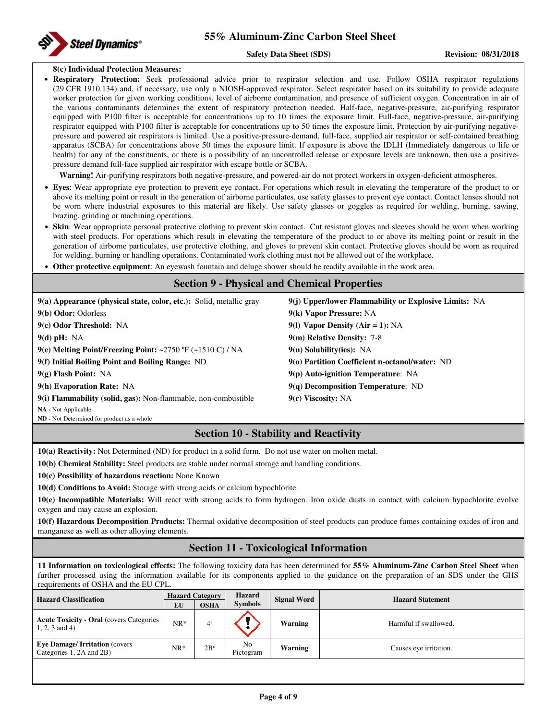#### **Safety Data Sheet (SDS)** Revision: 08/31/2018

#### **8(c) Individual Protection Measures:**

• **Respiratory Protection:** Seek professional advice prior to respirator selection and use. Follow OSHA respirator regulations (29 CFR 1910.134) and, if necessary, use only a NIOSH-approved respirator. Select respirator based on its suitability to provide adequate worker protection for given working conditions, level of airborne contamination, and presence of sufficient oxygen. Concentration in air of the various contaminants determines the extent of respiratory protection needed. Half-face, negative-pressure, air-purifying respirator equipped with P100 filter is acceptable for concentrations up to 10 times the exposure limit. Full-face, negative-pressure, air-purifying respirator equipped with P100 filter is acceptable for concentrations up to 50 times the exposure limit. Protection by air-purifying negativepressure and powered air respirators is limited. Use a positive-pressure-demand, full-face, supplied air respirator or self-contained breathing apparatus (SCBA) for concentrations above 50 times the exposure limit. If exposure is above the IDLH (Immediately dangerous to life or health) for any of the constituents, or there is a possibility of an uncontrolled release or exposure levels are unknown, then use a positivepressure demand full-face supplied air respirator with escape bottle or SCBA.

**Warning!** Air-purifying respirators both negative-pressure, and powered-air do not protect workers in oxygen-deficient atmospheres.

- **Eyes**: Wear appropriate eye protection to prevent eye contact. For operations which result in elevating the temperature of the product to or above its melting point or result in the generation of airborne particulates, use safety glasses to prevent eye contact. Contact lenses should not be worn where industrial exposures to this material are likely. Use safety glasses or goggles as required for welding, burning, sawing, brazing, grinding or machining operations.
- Skin: Wear appropriate personal protective clothing to prevent skin contact. Cut resistant gloves and sleeves should be worn when working with steel products. For operations which result in elevating the temperature of the product to or above its melting point or result in the generation of airborne particulates, use protective clothing, and gloves to prevent skin contact. Protective gloves should be worn as required for welding, burning or handling operations. Contaminated work clothing must not be allowed out of the workplace.
- **Other protective equipment**: An eyewash fountain and deluge shower should be readily available in the work area.

## **Section 9 - Physical and Chemical Properties 9(a) Appearance (physical state, color, etc.):** Solid, metallic gray **9(j) Upper/lower Flammability or Explosive Limits:** NA **9(b) Odor:** Odorless **9(k) Vapor Pressure:** NA **9(c) Odor Threshold:** NA **9(l) Vapor Density (Air = 1):** NA **9(d) pH:** NA **9(m) Relative Density:** 7-8 **9(e) Melting Point/Freezing Point: ~**2750 ºF (**~**1510 C) / NA **9(n) Solubility(ies):** NA **9(f) Initial Boiling Point and Boiling Range:** ND **9(o) Partition Coefficient n-octanol/water:** ND **9(g) Flash Point:** NA **9(p) Auto-ignition Temperature**: NA **9(h) Evaporation Rate:** NA **9(q) Decomposition Temperature**: ND **9(i) Flammability (solid, gas):** Non-flammable, non-combustible **9(r) Viscosity:** NA **NA -** Not Applicable

**ND -** Not Determined for product as a whole

## **Section 10 - Stability and Reactivity**

**10(a) Reactivity:** Not Determined (ND) for product in a solid form. Do not use water on molten metal.

**10(b) Chemical Stability:** Steel products are stable under normal storage and handling conditions.

**10(c) Possibility of hazardous reaction:** None Known

**10(d) Conditions to Avoid:** Storage with strong acids or calcium hypochlorite.

**10(e) Incompatible Materials:** Will react with strong acids to form hydrogen. Iron oxide dusts in contact with calcium hypochlorite evolve oxygen and may cause an explosion.

**10(f) Hazardous Decomposition Products:** Thermal oxidative decomposition of steel products can produce fumes containing oxides of iron and manganese as well as other alloying elements.

## **Section 11 - Toxicological Information**

**11 Information on toxicological effects:** The following toxicity data has been determined for **55% Aluminum-Zinc Carbon Steel Sheet** when further processed using the information available for its components applied to the guidance on the preparation of an SDS under the GHS requirements of OSHA and the EU CPL.

| <b>Hazard Classification</b>                                        | <b>Hazard</b><br><b>Hazard Category</b><br><b>Symbols</b><br><b>OSHA</b><br>EU |                | <b>Signal Word</b> | <b>Hazard Statement</b> |                        |
|---------------------------------------------------------------------|--------------------------------------------------------------------------------|----------------|--------------------|-------------------------|------------------------|
| <b>Acute Toxicity - Oral (covers Categories</b><br>$1, 2, 3$ and 4) | $NR^*$                                                                         | 4 <sup>a</sup> |                    | Warning                 | Harmful if swallowed.  |
| <b>Eye Damage/Irritation (covers)</b><br>Categories 1, 2A and 2B)   | $NR^*$                                                                         | $2B^{\circ}$   | No<br>Pictogram    | <b>Warning</b>          | Causes eye irritation. |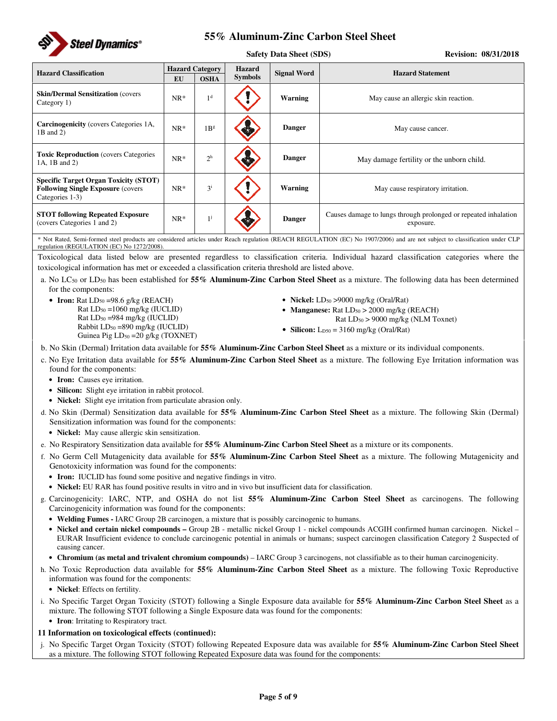

|                                                                                                              |                        | <b>Safety Data Sheet (SDS)</b> |                              | <b>Revision: 08/31/2018</b> |                                                                              |
|--------------------------------------------------------------------------------------------------------------|------------------------|--------------------------------|------------------------------|-----------------------------|------------------------------------------------------------------------------|
| <b>Hazard Classification</b>                                                                                 | <b>Hazard Category</b> |                                | Hazard<br><b>Signal Word</b> |                             | <b>Hazard Statement</b>                                                      |
|                                                                                                              | <b>EU</b>              | <b>OSHA</b>                    | <b>Symbols</b>               |                             |                                                                              |
| <b>Skin/Dermal Sensitization (covers)</b><br>Category 1)                                                     | $NR*$                  | 1 <sup>d</sup>                 |                              | Warning                     | May cause an allergic skin reaction.                                         |
| <b>Carcinogenicity</b> (covers Categories 1A,<br>1B and 2)                                                   | $NR*$                  | 1B <sup>g</sup>                |                              | <b>Danger</b>               | May cause cancer.                                                            |
| <b>Toxic Reproduction</b> (covers Categories<br>1A, 1B and 2)                                                | $NR*$                  | 2 <sup>h</sup>                 |                              | <b>Danger</b>               | May damage fertility or the unborn child.                                    |
| <b>Specific Target Organ Toxicity (STOT)</b><br><b>Following Single Exposure (covers)</b><br>Categories 1-3) | $NR*$                  | $3^{i}$                        |                              | <b>Warning</b>              | May cause respiratory irritation.                                            |
| <b>STOT following Repeated Exposure</b><br>(covers Categories 1 and 2)                                       | $NR*$                  | $1^{j}$                        |                              | <b>Danger</b>               | Causes damage to lungs through prolonged or repeated inhalation<br>exposure. |

\* Not Rated, Semi-formed steel products are considered articles under Reach regulation (REACH REGULATION (EC) No 1907/2006) and are not subject to classification under CLP regulation (REGULATION (EC) No 1272/2008).

Toxicological data listed below are presented regardless to classification criteria. Individual hazard classification categories where the toxicological information has met or exceeded a classification criteria threshold are listed above.

a. No LC50 or LD50 has been established for **55% Aluminum-Zinc Carbon Steel Sheet** as a mixture. The following data has been determined for the components:

• **Iron:** Rat LD<sub>50</sub> = 98.6 g/kg (REACH) Rat LD50 =1060 mg/kg (IUCLID) Rat LD50 =984 mg/kg (IUCLID) Rabbit LD50 =890 mg/kg (IUCLID) Guinea Pig LD<sub>50</sub> = 20 g/kg (TOXNET)

- **Nickel:** LD<sub>50</sub> > 9000 mg/kg (Oral/Rat)
- **Manganese:** Rat LD<sub>50</sub> > 2000 mg/kg (REACH)
	- Rat LD50 > 9000 mg/kg (NLM Toxnet)
- **Silicon:**  $L_{D50} = 3160$  mg/kg (Oral/Rat)
- b. No Skin (Dermal) Irritation data available for **55% Aluminum-Zinc Carbon Steel Sheet** as a mixture or its individual components.
- c. No Eye Irritation data available for **55% Aluminum-Zinc Carbon Steel Sheet** as a mixture. The following Eye Irritation information was found for the components:
	- **Iron:** Causes eye irritation.
	- **Silicon:** Slight eye irritation in rabbit protocol.
	- **Nickel:** Slight eye irritation from particulate abrasion only.
- d. No Skin (Dermal) Sensitization data available for **55% Aluminum-Zinc Carbon Steel Sheet** as a mixture. The following Skin (Dermal) Sensitization information was found for the components:
	- **Nickel:** May cause allergic skin sensitization.
- e. No Respiratory Sensitization data available for **55% Aluminum-Zinc Carbon Steel Sheet** as a mixture or its components.
- f. No Germ Cell Mutagenicity data available for **55% Aluminum-Zinc Carbon Steel Sheet** as a mixture. The following Mutagenicity and Genotoxicity information was found for the components:
	- **Iron:** IUCLID has found some positive and negative findings in vitro.
	- **Nickel:** EU RAR has found positive results in vitro and in vivo but insufficient data for classification.
- g. Carcinogenicity: IARC, NTP, and OSHA do not list **55% Aluminum-Zinc Carbon Steel Sheet** as carcinogens. The following Carcinogenicity information was found for the components:
	- **Welding Fumes -** IARC Group 2B carcinogen, a mixture that is possibly carcinogenic to humans.
	- Nickel and certain nickel compounds Group 2B metallic nickel Group 1 nickel compounds ACGIH confirmed human carcinogen. Nickel EURAR Insufficient evidence to conclude carcinogenic potential in animals or humans; suspect carcinogen classification Category 2 Suspected of causing cancer.
	- **Chromium (as metal and trivalent chromium compounds)**  IARC Group 3 carcinogens, not classifiable as to their human carcinogenicity.
- h. No Toxic Reproduction data available for **55% Aluminum-Zinc Carbon Steel Sheet** as a mixture. The following Toxic Reproductive information was found for the components:
	- **Nickel**: Effects on fertility.
- i. No Specific Target Organ Toxicity (STOT) following a Single Exposure data available for **55% Aluminum-Zinc Carbon Steel Sheet** as a mixture. The following STOT following a Single Exposure data was found for the components:
	- **Iron**: Irritating to Respiratory tract.

### **11 Information on toxicological effects (continued):**

j. No Specific Target Organ Toxicity (STOT) following Repeated Exposure data was available for **55% Aluminum-Zinc Carbon Steel Sheet** as a mixture. The following STOT following Repeated Exposure data was found for the components: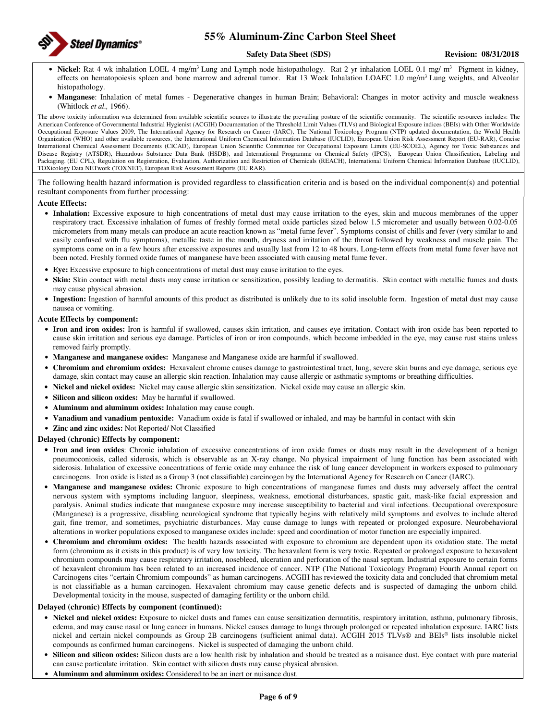

#### **Safety Data Sheet (SDS)** Revision: 08/31/2018

- Nickel: Rat 4 wk inhalation LOEL 4 mg/m<sup>3</sup> Lung and Lymph node histopathology. Rat 2 yr inhalation LOEL 0.1 mg/ m<sup>3</sup> Pigment in kidney, effects on hematopoiesis spleen and bone marrow and adrenal tumor. Rat 13 Week Inhalation LOAEC 1.0 mg/m<sup>3</sup> Lung weights, and Alveolar histopathology.
- **Manganese**: Inhalation of metal fumes Degenerative changes in human Brain; Behavioral: Changes in motor activity and muscle weakness (Whitlock *et al.,* 1966).

The above toxicity information was determined from available scientific sources to illustrate the prevailing posture of the scientific community. The scientific resources includes: The American Conference of Governmental Industrial Hygienist (ACGIH) Documentation of the Threshold Limit Values (TLVs) and Biological Exposure indices (BEIs) with Other Worldwide Occupational Exposure Values 2009, The International Agency for Research on Cancer (IARC), The National Toxicology Program (NTP) updated documentation, the World Health Organization (WHO) and other available resources, the International Uniform Chemical Information Database (IUCLID), European Union Risk Assessment Report (EU-RAR), Concise International Chemical Assessment Documents (CICAD), European Union Scientific Committee for Occupational Exposure Limits (EU-SCOEL), Agency for Toxic Substances and Disease Registry (ATSDR), Hazardous Substance Data Bank (HSDB), and International Programme on Chemical Safety (IPCS), European Union Classification, Labeling and Packaging. (EU CPL), Regulation on Registration, Evaluation, Authorization and Restriction of Chemicals (REACH), International Uniform Chemical Information Database (IUCLID), TOXicology Data NETwork (TOXNET), European Risk Assessment Reports (EU RAR).

The following health hazard information is provided regardless to classification criteria and is based on the individual component(s) and potential resultant components from further processing:

#### **Acute Effects:**

- **Inhalation:** Excessive exposure to high concentrations of metal dust may cause irritation to the eyes, skin and mucous membranes of the upper respiratory tract. Excessive inhalation of fumes of freshly formed metal oxide particles sized below 1.5 micrometer and usually between 0.02-0.05 micrometers from many metals can produce an acute reaction known as "metal fume fever". Symptoms consist of chills and fever (very similar to and easily confused with flu symptoms), metallic taste in the mouth, dryness and irritation of the throat followed by weakness and muscle pain. The symptoms come on in a few hours after excessive exposures and usually last from 12 to 48 hours. Long-term effects from metal fume fever have not been noted. Freshly formed oxide fumes of manganese have been associated with causing metal fume fever.
- **Eye:** Excessive exposure to high concentrations of metal dust may cause irritation to the eyes.
- **Skin:** Skin contact with metal dusts may cause irritation or sensitization, possibly leading to dermatitis. Skin contact with metallic fumes and dusts may cause physical abrasion.
- **Ingestion:** Ingestion of harmful amounts of this product as distributed is unlikely due to its solid insoluble form. Ingestion of metal dust may cause nausea or vomiting.

#### **Acute Effects by component:**

- **Iron and iron oxides:** Iron is harmful if swallowed, causes skin irritation, and causes eye irritation. Contact with iron oxide has been reported to cause skin irritation and serious eye damage. Particles of iron or iron compounds, which become imbedded in the eye, may cause rust stains unless removed fairly promptly.
- **Manganese and manganese oxides:** Manganese and Manganese oxide are harmful if swallowed.
- **Chromium and chromium oxides:** Hexavalent chrome causes damage to gastrointestinal tract, lung, severe skin burns and eye damage, serious eye damage, skin contact may cause an allergic skin reaction. Inhalation may cause allergic or asthmatic symptoms or breathing difficulties.
- **Nickel and nickel oxides:** Nickel may cause allergic skin sensitization. Nickel oxide may cause an allergic skin.
- **Silicon and silicon oxides:** May be harmful if swallowed.
- **Aluminum and aluminum oxides:** Inhalation may cause cough.
- **Vanadium and vanadium pentoxide:** Vanadium oxide is fatal if swallowed or inhaled, and may be harmful in contact with skin
- **Zinc and zinc oxides:** Not Reported/ Not Classified

#### **Delayed (chronic) Effects by component:**

- **Iron and iron oxides**: Chronic inhalation of excessive concentrations of iron oxide fumes or dusts may result in the development of a benign pneumoconiosis, called siderosis, which is observable as an X-ray change. No physical impairment of lung function has been associated with siderosis. Inhalation of excessive concentrations of ferric oxide may enhance the risk of lung cancer development in workers exposed to pulmonary carcinogens. Iron oxide is listed as a Group 3 (not classifiable) carcinogen by the International Agency for Research on Cancer (IARC).
- **Manganese and manganese oxides:** Chronic exposure to high concentrations of manganese fumes and dusts may adversely affect the central nervous system with symptoms including languor, sleepiness, weakness, emotional disturbances, spastic gait, mask-like facial expression and paralysis. Animal studies indicate that manganese exposure may increase susceptibility to bacterial and viral infections. Occupational overexposure (Manganese) is a progressive, disabling neurological syndrome that typically begins with relatively mild symptoms and evolves to include altered gait, fine tremor, and sometimes, psychiatric disturbances. May cause damage to lungs with repeated or prolonged exposure. Neurobehavioral alterations in worker populations exposed to manganese oxides include: speed and coordination of motor function are especially impaired.
- **Chromium and chromium oxides:** The health hazards associated with exposure to chromium are dependent upon its oxidation state. The metal form (chromium as it exists in this product) is of very low toxicity. The hexavalent form is very toxic. Repeated or prolonged exposure to hexavalent chromium compounds may cause respiratory irritation, nosebleed, ulceration and perforation of the nasal septum. Industrial exposure to certain forms of hexavalent chromium has been related to an increased incidence of cancer. NTP (The National Toxicology Program) Fourth Annual report on Carcinogens cites "certain Chromium compounds" as human carcinogens. ACGIH has reviewed the toxicity data and concluded that chromium metal is not classifiable as a human carcinogen. Hexavalent chromium may cause genetic defects and is suspected of damaging the unborn child. Developmental toxicity in the mouse, suspected of damaging fertility or the unborn child.

#### **Delayed (chronic) Effects by component (continued):**

- **Nickel and nickel oxides:** Exposure to nickel dusts and fumes can cause sensitization dermatitis, respiratory irritation, asthma, pulmonary fibrosis, edema, and may cause nasal or lung cancer in humans. Nickel causes damage to lungs through prolonged or repeated inhalation exposure. IARC lists nickel and certain nickel compounds as Group 2B carcinogens (sufficient animal data). ACGIH 2015 TLVs® and BEIs® lists insoluble nickel compounds as confirmed human carcinogens. Nickel is suspected of damaging the unborn child.
- **Silicon and silicon oxides:** Silicon dusts are a low health risk by inhalation and should be treated as a nuisance dust. Eye contact with pure material can cause particulate irritation. Skin contact with silicon dusts may cause physical abrasion.
- **Aluminum and aluminum oxides:** Considered to be an inert or nuisance dust.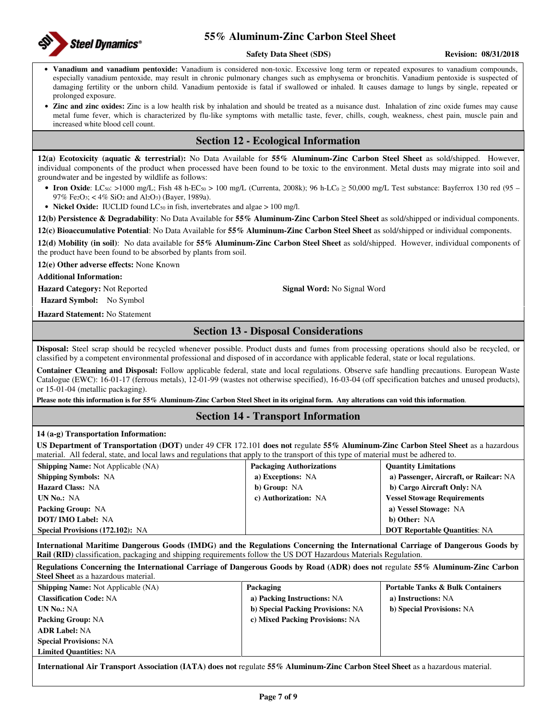

#### **Safety Data Sheet (SDS) Revision: 08/31/2018**

- **Vanadium and vanadium pentoxide:** Vanadium is considered non-toxic. Excessive long term or repeated exposures to vanadium compounds, especially vanadium pentoxide, may result in chronic pulmonary changes such as emphysema or bronchitis. Vanadium pentoxide is suspected of damaging fertility or the unborn child. Vanadium pentoxide is fatal if swallowed or inhaled. It causes damage to lungs by single, repeated or prolonged exposure.
- **Zinc and zinc oxides:** Zinc is a low health risk by inhalation and should be treated as a nuisance dust. Inhalation of zinc oxide fumes may cause metal fume fever, which is characterized by flu-like symptoms with metallic taste, fever, chills, cough, weakness, chest pain, muscle pain and increased white blood cell count.

## **Section 12 - Ecological Information**

**12(a) Ecotoxicity (aquatic & terrestrial):** No Data Available for **55% Aluminum-Zinc Carbon Steel Sheet** as sold/shipped. However, individual components of the product when processed have been found to be toxic to the environment. Metal dusts may migrate into soil and groundwater and be ingested by wildlife as follows:

• **Iron Oxide**: LC<sub>50</sub>: >1000 mg/L; Fish 48 h-EC<sub>50</sub> > 100 mg/L (Currenta, 2008k); 96 h-LC<sub>0</sub> ≥ 50,000 mg/L Test substance: Bayferrox 130 red (95 – 97% Fe<sub>2</sub>O<sub>3</sub>; < 4% SiO<sub>2</sub> and Al<sub>2</sub>O<sub>3</sub>) (Bayer, 1989a).

• **Nickel Oxide:** IUCLID found  $LC_{50}$  in fish, invertebrates and algae  $> 100$  mg/l.

**12(b) Persistence & Degradability**: No Data Available for **55% Aluminum-Zinc Carbon Steel Sheet** as sold/shipped or individual components.

**12(c) Bioaccumulative Potential**: No Data Available for **55% Aluminum-Zinc Carbon Steel Sheet** as sold/shipped or individual components.

**12(d) Mobility (in soil)**: No data available for **55% Aluminum-Zinc Carbon Steel Sheet** as sold/shipped. However, individual components of the product have been found to be absorbed by plants from soil.

**12(e) Other adverse effects:** None Known

**Additional Information:** 

**Hazard Category:** Not Reported **Signal Word:** No Signal Word

**Hazard Symbol:** No Symbol

**Hazard Statement:** No Statement

## **Section 13 - Disposal Considerations**

**Disposal:** Steel scrap should be recycled whenever possible. Product dusts and fumes from processing operations should also be recycled, or classified by a competent environmental professional and disposed of in accordance with applicable federal, state or local regulations.

**Container Cleaning and Disposal:** Follow applicable federal, state and local regulations. Observe safe handling precautions. European Waste Catalogue (EWC): 16-01-17 (ferrous metals), 12-01-99 (wastes not otherwise specified), 16-03-04 (off specification batches and unused products), or 15-01-04 (metallic packaging).

**Please note this information is for 55% Aluminum-Zinc Carbon Steel Sheet in its original form. Any alterations can void this information**.

## **Section 14 - Transport Information**

### **14 (a-g) Transportation Information:**

**US Department of Transportation (DOT)** under 49 CFR 172.101 **does not** regulate **55% Aluminum-Zinc Carbon Steel Sheet** as a hazardous material. All federal, state, and local laws and regulations that apply to the transport of this type of material must be adhered to.

| <b>Shipping Name:</b> Not Applicable (NA) | <b>Packaging Authorizations</b> | <b>Quantity Limitations</b>            |
|-------------------------------------------|---------------------------------|----------------------------------------|
| <b>Shipping Symbols: NA</b>               | a) Exceptions: NA               | a) Passenger, Aircraft, or Railcar: NA |
| <b>Hazard Class: NA</b>                   | b) Group: NA                    | b) Cargo Aircraft Only: NA             |
| UN No.: NA                                | c) Authorization: NA            | <b>Vessel Stowage Requirements</b>     |
| <b>Packing Group: NA</b>                  |                                 | a) Vessel Stowage: NA                  |
| <b>DOT/IMO Label: NA</b>                  |                                 | b) Other: NA                           |
| <b>Special Provisions (172.102): NA</b>   |                                 | <b>DOT Reportable Quantities: NA</b>   |

**International Maritime Dangerous Goods (IMDG) and the Regulations Concerning the International Carriage of Dangerous Goods by Rail (RID)** classification, packaging and shipping requirements follow the US DOT Hazardous Materials Regulation.

**Regulations Concerning the International Carriage of Dangerous Goods by Road (ADR) does not** regulate **55% Aluminum-Zinc Carbon Steel Sheet** as a hazardous material. **Shipping Name:** Not Applicable (NA) **Packaging Portable Tanks & Bulk Containers** 

**Classification Code:** NA **UN No.:** NA **Packing Group:** NA **ADR Label:** NA **Special Provisions:** NA **Limited Quantities:** NA **a) Packing Instructions:** NA **b) Special Packing Provisions:** NA **c) Mixed Packing Provisions:** NA **a) Instructions:** NA **b) Special Provisions:** NA

**International Air Transport Association (IATA) does not** regulate **55% Aluminum-Zinc Carbon Steel Sheet** as a hazardous material.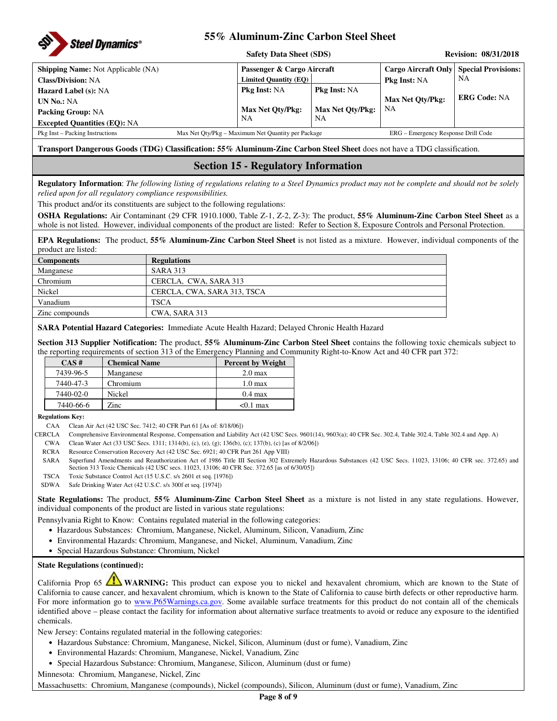

|                                           | <b>Safety Data Sheet (SDS)</b>                     |                         | <b>Revision: 08/31/2018</b>         |                            |  |
|-------------------------------------------|----------------------------------------------------|-------------------------|-------------------------------------|----------------------------|--|
| <b>Shipping Name:</b> Not Applicable (NA) | Passenger & Cargo Aircraft                         |                         | Cargo Aircraft Only                 | <b>Special Provisions:</b> |  |
| <b>Class/Division: NA</b>                 |                                                    | Limited Quantity (EQ)   |                                     | NA                         |  |
| <b>Hazard Label (s): NA</b>               | <b>Pkg Inst: NA</b>                                | <b>Pkg Inst: NA</b>     |                                     |                            |  |
| <b>UN No.: NA</b>                         |                                                    |                         | <b>Max Net Oty/Pkg:</b>             | <b>ERG Code: NA</b>        |  |
| <b>Packing Group: NA</b>                  | Max Net Oty/Pkg:                                   | <b>Max Net Oty/Pkg:</b> | NΑ                                  |                            |  |
| <b>Excepted Quantities (EQ): NA</b>       | NA                                                 | NΑ                      |                                     |                            |  |
| Pkg Inst – Packing Instructions           | Max Net Oty/Pkg – Maximum Net Quantity per Package |                         | ERG – Emergency Response Drill Code |                            |  |

**Transport Dangerous Goods (TDG) Classification: 55% Aluminum-Zinc Carbon Steel Sheet** does not have a TDG classification.

## **Section 15 - Regulatory Information**

**Regulatory Information**: *The following listing of regulations relating to a Steel Dynamics product may not be complete and should not be solely relied upon for all regulatory compliance responsibilities.* 

This product and/or its constituents are subject to the following regulations:

**OSHA Regulations:** Air Contaminant (29 CFR 1910.1000, Table Z-1, Z-2, Z-3): The product, **55% Aluminum-Zinc Carbon Steel Sheet** as a whole is not listed. However, individual components of the product are listed: Refer to Section 8, Exposure Controls and Personal Protection.

**EPA Regulations:** The product, **55% Aluminum-Zinc Carbon Steel Sheet** is not listed as a mixture. However, individual components of the product are listed:

| <b>Components</b> | <b>Regulations</b>          |
|-------------------|-----------------------------|
| Manganese         | <b>SARA 313</b>             |
| Chromium          | CERCLA, CWA, SARA 313       |
| Nickel            | CERCLA, CWA, SARA 313, TSCA |
| Vanadium          | <b>TSCA</b>                 |
| Zinc compounds    | CWA, SARA 313               |

**SARA Potential Hazard Categories:** Immediate Acute Health Hazard; Delayed Chronic Health Hazard

**Section 313 Supplier Notification:** The product, **55% Aluminum-Zinc Carbon Steel Sheet** contains the following toxic chemicals subject to the reporting requirements of section 313 of the Emergency Planning and Community Right-to-Know Act and 40 CFR part 372:

| CAS#      | <b>Chemical Name</b> | <b>Percent by Weight</b> |
|-----------|----------------------|--------------------------|
| 7439-96-5 | Manganese            | $2.0 \text{ max}$        |
| 7440-47-3 | Chromium             | 1.0 <sub>max</sub>       |
| 7440-02-0 | Nickel               | $0.4 \text{ max}$        |
| 7440-66-6 | Zinc                 | $< 0.1$ max              |

**Regulations Key:** 

CAA Clean Air Act (42 USC Sec. 7412; 40 CFR Part 61 [As of: 8/18/06])

CERCLA Comprehensive Environmental Response, Compensation and Liability Act (42 USC Secs. 9601(14), 9603(a); 40 CFR Sec. 302.4, Table 302.4, Table 302.4 and App. A)

- CWA Clean Water Act (33 USC Secs. 1311; 1314(b), (c), (e), (g); 136(b), (c); 137(b), (c) [as of 8/2/06])
- RCRA Resource Conservation Recovery Act (42 USC Sec. 6921; 40 CFR Part 261 App VIII)
- SARA Superfund Amendments and Reauthorization Act of 1986 Title III Section 302 Extremely Hazardous Substances (42 USC Secs. 11023, 13106; 40 CFR sec. 372.65) and Section 313 Toxic Chemicals (42 USC secs. 11023, 13106; 40 CFR Sec. 372.65 [as of 6/30/05])
- TSCA Toxic Substance Control Act (15 U.S.C. s/s 2601 et seq. [1976])

SDWA Safe Drinking Water Act (42 U.S.C. s/s 300f et seq. [1974])

**State Regulations:** The product, **55% Aluminum-Zinc Carbon Steel Sheet** as a mixture is not listed in any state regulations. However, individual components of the product are listed in various state regulations:

Pennsylvania Right to Know: Contains regulated material in the following categories:

- Hazardous Substances: Chromium, Manganese, Nickel, Aluminum, Silicon, Vanadium, Zinc
- Environmental Hazards: Chromium, Manganese, and Nickel, Aluminum, Vanadium, Zinc
- Special Hazardous Substance: Chromium, Nickel

### **State Regulations (continued):**

California Prop 65 **WARNING:** This product can expose you to nickel and hexavalent chromium, which are known to the State of California to cause cancer, and hexavalent chromium, which is known to the State of California to cause birth defects or other reproductive harm. For more information go to www.P65Warnings.ca.gov. Some available surface treatments for this product do not contain all of the chemicals identified above – please contact the facility for information about alternative surface treatments to avoid or reduce any exposure to the identified chemicals.

New Jersey: Contains regulated material in the following categories:

- Hazardous Substance: Chromium, Manganese, Nickel, Silicon, Aluminum (dust or fume), Vanadium, Zinc
- Environmental Hazards: Chromium, Manganese, Nickel, Vanadium, Zinc
- Special Hazardous Substance: Chromium, Manganese, Silicon, Aluminum (dust or fume)

Minnesota: Chromium, Manganese, Nickel, Zinc

Massachusetts: Chromium, Manganese (compounds), Nickel (compounds), Silicon, Aluminum (dust or fume), Vanadium, Zinc